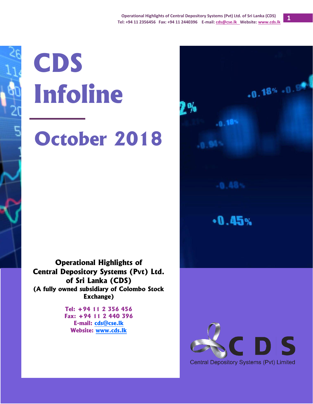$.0.18$ 

 $-0.45%$ 

**1**

 $-0.18% - 0.9%$ 

# **CDS Infoline October 2018**

**Operational Highlights of Central Depository Systems (Pvt) Ltd. of Sri Lanka (CDS) (A fully owned subsidiary of Colombo Stock Exchange)**

> **Tel: +94 11 2 356 456 Fax: +94 11 2 440 396 E-mail: [cds@cse.lk](mailto:cds@cse.lk) Website: [www.cds.lk](http://www.cds.lk/)**

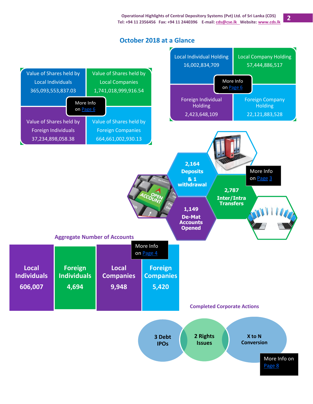### **October 2018 at a Glance**

<span id="page-1-0"></span>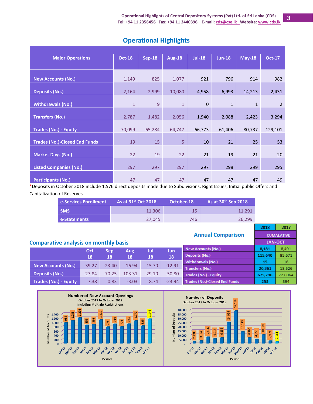2018

**Annual Comparison** 

2017

**CUMALATIVE JAN-OCT** 

**B**ocksta

| <b>Major Operations</b>              | <b>Oct-18</b> | <b>Sep-18</b> | <b>Aug-18</b>  | $Jul-18$    | <b>Jun-18</b> | $May-18$     | <b>Oct-17</b>  |
|--------------------------------------|---------------|---------------|----------------|-------------|---------------|--------------|----------------|
|                                      |               |               |                |             |               |              |                |
|                                      |               |               |                |             |               |              |                |
| <b>New Accounts (No.)</b>            | 1,149         | 825           | 1,077          | 921         | 796           | 914          | 982            |
|                                      |               |               |                |             |               |              |                |
| <b>Deposits (No.)</b>                | 2,164         | 2,999         | 10,080         | 4,958       | 6,993         | 14,213       | 2,431          |
| <b>Withdrawals (No.)</b>             | $\mathbf{1}$  | 9             | $\mathbf{1}$   | $\mathbf 0$ | $\mathbf{1}$  | $\mathbf{1}$ | $\overline{2}$ |
|                                      |               |               |                |             |               |              |                |
| <b>Transfers (No.)</b>               | 2,787         | 1,482         | 2,056          | 1,940       | 2,088         | 2,423        | 3,294          |
|                                      |               |               |                |             |               |              |                |
| <b>Trades (No.) - Equity</b>         | 70,099        | 65,284        | 64,747         | 66,773      | 61,406        | 80,737       | 129,101        |
| <b>Trades (No.)-Closed End Funds</b> | 19            | 15            | 5 <sup>5</sup> | 10          | 21            | 25           | 53             |
|                                      |               |               |                |             |               |              |                |
| <b>Market Days (No.)</b>             | 22            | 19            | 22             | 21          | 19            | 21           | 20             |
|                                      |               |               |                |             |               |              |                |
| <b>Listed Companies (No.)</b>        | 297           | 297           | 297            | 297         | 298           | 299          | 295            |
|                                      |               |               |                |             |               |              |                |
| <b>Participants (No.)</b>            | 47            | 47            | 47             | 47          | 47            | 47           | 49             |

## **Operational Highlights**

\*Deposits in October 2018 include 1,576 direct deposits made due to Subdivisions, Right Issues, Initial public Offers and Capitalization of Reserves.

| <b>Le-Services Enrollment</b> | As at $31st$ Oct 2018 | October-18 | As at $30^{th}$ Sep 2018 |
|-------------------------------|-----------------------|------------|--------------------------|
| <b>SMS</b>                    | 11.306                | 15         | 11.291                   |
| e-Statements                  | 27.045                | 746        | 26.299                   |

#### **Comparative analysis on monthly basis**

|                              | Oct      | Sep      | Aug     | Jul      | Jun.     | New Accounts (No.)                   | 8,181   | 8,491   |
|------------------------------|----------|----------|---------|----------|----------|--------------------------------------|---------|---------|
|                              | 18       | 18       | 18      | 18       | 18       | Deposits (No.)                       | 115,640 | 85,671  |
|                              |          |          |         |          |          | Withdrawals (No.)                    | 15      | 16      |
| <b>New Accounts (No.)</b>    | 39.27    | $-23.40$ | 16.94   | 15.70    | $-12.91$ | <b>Transfers (No.)</b>               | 20,361  | 18,526  |
| Deposits (No.)               | $-27.84$ | $-70.25$ | 103.31  | $-29.10$ | $-50.80$ | Trades (No.) - Equity                | 675.796 | 727,064 |
| <b>Trades (No.) - Equity</b> | 7.38     | 0.83     | $-3.03$ | 8.74     | $-23.94$ | <b>Trades (No.)-Closed End Funds</b> | 253     | 394     |

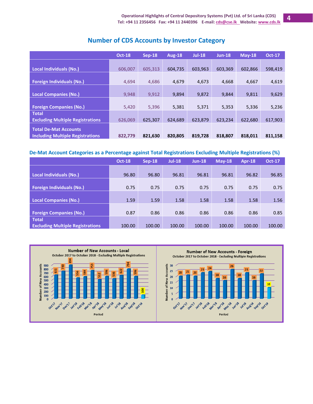<span id="page-3-0"></span>

|                                                                         | <b>Oct-18</b> | $Sep-18$ | <b>Aug-18</b> | <b>Jul-18</b> | $Jun-18$ | $M$ ay-18 | <b>Oct-17</b> |
|-------------------------------------------------------------------------|---------------|----------|---------------|---------------|----------|-----------|---------------|
| Local Individuals (No.)                                                 | 606,007       | 605,313  | 604,735       | 603,963       | 603,369  | 602,866   | 598,419       |
| <b>Foreign Individuals (No.)</b>                                        | 4,694         | 4,686    | 4,679         | 4,673         | 4,668    | 4,667     | 4,619         |
| <b>Local Companies (No.)</b>                                            | 9,948         | 9,912    | 9,894         | 9,872         | 9,844    | 9,811     | 9,629         |
| <b>Foreign Companies (No.)</b>                                          | 5,420         | 5,396    | 5,381         | 5,371         | 5,353    | 5,336     | 5,236         |
| <b>Total</b><br><b>Excluding Multiple Registrations</b>                 | 626,069       | 625,307  | 624,689       | 623,879       | 623,234  | 622,680   | 617,903       |
| <b>Total De-Mat Accounts</b><br><b>Including Multiple Registrations</b> | 822,779       | 821,630  | 820,805       | 819,728       | 818,807  | 818,011   | 811,158       |

# **Number of CDS Accounts by Investor Category**

#### **De-Mat Account Categories as a Percentage against Total Registrations Excluding Multiple Registrations (%)**

|                                         | <b>Oct-18</b> | $Sep-18$ | <b>Jul-18</b> | $Jun-18$ | $May-18$ | Apr-18 | <b>Oct-17</b> |
|-----------------------------------------|---------------|----------|---------------|----------|----------|--------|---------------|
|                                         |               |          |               |          |          |        |               |
| <b>Local Individuals (No.)</b>          | 96.80         | 96.80    | 96.81         | 96.81    | 96.81    | 96.82  | 96.85         |
|                                         |               |          |               |          |          |        |               |
| <b>Foreign Individuals (No.)</b>        | 0.75          | 0.75     | 0.75          | 0.75     | 0.75     | 0.75   | 0.75          |
|                                         |               |          |               |          |          |        |               |
| <b>Local Companies (No.)</b>            | 1.59          | 1.59     | 1.58          | 1.58     | 1.58     | 1.58   | 1.56          |
|                                         |               |          |               |          |          |        |               |
| <b>Foreign Companies (No.)</b>          | 0.87          | 0.86     | 0.86          | 0.86     | 0.86     | 0.86   | 0.85          |
| <b>Total</b>                            |               |          |               |          |          |        |               |
| <b>Excluding Multiple Registrations</b> | 100.00        | 100.00   | 100.00        | 100.00   | 100.00   | 100.00 | 100.00        |



**4**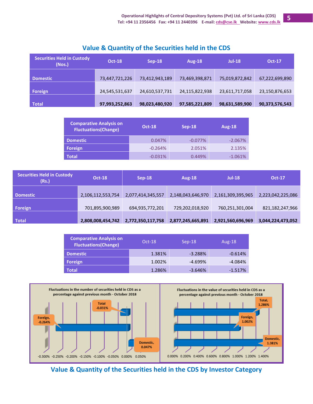| <b>Securities Held in Custody</b><br>(Nos.) | <b>Oct-18</b>  | $Sep-18$       | Aug-18         | $Jul-18$       | <b>Oct-17</b>  |
|---------------------------------------------|----------------|----------------|----------------|----------------|----------------|
| <b>Domestic</b>                             | 73,447,721,226 | 73,412,943,189 | 73,469,398,871 | 75,019,872,842 | 67,222,699,890 |
| Foreign                                     | 24,545,531,637 | 24,610,537,731 | 24,115,822,938 | 23,611,717,058 | 23,150,876,653 |
| <b>Total</b>                                | 97,993,252,863 | 98,023,480,920 | 97,585,221,809 | 98,631,589,900 | 90,373,576,543 |

## **Value & Quantity of the Securities held in the CDS**

| <b>Comparative Analysis on</b><br><b>Fluctuations(Change)</b> | <b>Oct-18</b> | $Sep-18$  | Aug-18    |
|---------------------------------------------------------------|---------------|-----------|-----------|
| <b>Domestic</b>                                               | 0.047%        | $-0.077%$ | $-2.067%$ |
| <b>Foreign</b>                                                | $-0.264%$     | 2.051%    | 2.135%    |
| <b>Total</b>                                                  | $-0.031%$     | 0.449%    | $-1.061%$ |

| <b>Securities Held in Custody</b><br>(Rs.) | <b>Oct-18</b>     | $Sep-18$          | Aug-18            | $Jul-18$          | <b>Oct-17</b>     |
|--------------------------------------------|-------------------|-------------------|-------------------|-------------------|-------------------|
| <b>Domestic</b>                            | 2,106,112,553,754 | 2,077,414,345,557 | 2,148,043,646,970 | 2,161,309,395,965 | 2,223,042,225,086 |
| Foreign                                    | 701,895,900,989   | 694,935,772,201   | 729,202,018,920   | 760,251,301,004   | 821,182,247,966   |
| Total                                      | 2,808,008,454,742 | 2,772,350,117,758 | 2,877,245,665,891 | 2,921,560,696,969 | 3,044,224,473,052 |

| <b>Comparative Analysis on</b><br><b>Fluctuations(Change)</b> | $Oct-18$ | $Sep-18$  | Aug- $18$ |  |
|---------------------------------------------------------------|----------|-----------|-----------|--|
| <b>Domestic</b>                                               | 1.381%   | $-3.288%$ | $-0.614%$ |  |
| Foreign                                                       | 1.002%   | $-4.699%$ | $-4.084%$ |  |
| Total                                                         | 1.286%   | $-3.646%$ | $-1.517%$ |  |



<span id="page-4-0"></span>**Value & Quantity of the Securities held in the CDS by Investor Category**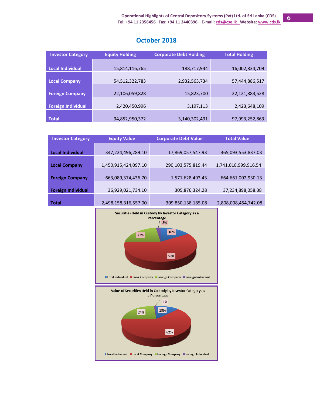| <b>Investor Category</b>  | <b>Equity Holding</b> | <b>Corporate Debt Holding</b> | <b>Total Holding</b> |
|---------------------------|-----------------------|-------------------------------|----------------------|
|                           |                       |                               |                      |
| <b>Local Individual</b>   | 15,814,116,765        | 188,717,944                   | 16,002,834,709       |
|                           |                       |                               |                      |
| <b>Local Company</b>      | 54, 512, 322, 783     | 2,932,563,734                 | 57,444,886,517       |
|                           |                       |                               |                      |
| <b>Foreign Company</b>    | 22,106,059,828        | 15,823,700                    | 22,121,883,528       |
|                           |                       |                               |                      |
| <b>Foreign Individual</b> | 2,420,450,996         | 3,197,113                     | 2,423,648,109        |
|                           |                       |                               |                      |
| <b>Total</b>              | 94,852,950,372        | 3,140,302,491                 | 97,993,252,863       |

# **October 2018**

| <b>Investor Category</b>  | <b>Equity Value</b>  | <b>Corporate Debt Value</b> | <b>Total Value</b>   |  |
|---------------------------|----------------------|-----------------------------|----------------------|--|
|                           |                      |                             |                      |  |
| <b>Local Individual</b>   | 347,224,496,289.10   | 17,869,057,547.93           | 365,093,553,837.03   |  |
|                           |                      |                             |                      |  |
| <b>Local Company</b>      | 1,450,915,424,097.10 | 290,103,575,819.44          | 1,741,018,999,916.54 |  |
|                           |                      |                             |                      |  |
| <b>Foreign Company</b>    | 663,089,374,436.70   | 1,571,628,493.43            | 664,661,002,930.13   |  |
|                           |                      |                             |                      |  |
| <b>Foreign Individual</b> | 36,929,021,734.10    | 305,876,324.28              | 37,234,898,058.38    |  |
|                           |                      |                             |                      |  |
| <b>Total</b>              | 2,498,158,316,557.00 | 309,850,138,185.08          | 2,808,008,454,742.08 |  |

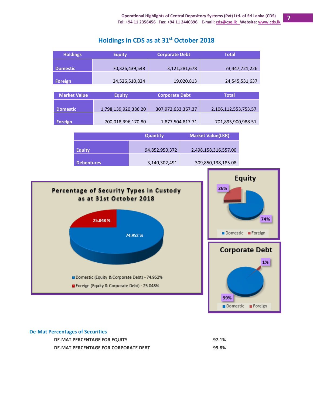# **Holdings in CDS as at 31 st October 2018**



#### **De-Mat Percentages of Securities**

| <b>DE-MAT PERCENTAGE FOR EQUITY</b>         | 97.1% |
|---------------------------------------------|-------|
| <b>DE-MAT PERCENTAGE FOR CORPORATE DEBT</b> | 99.8% |